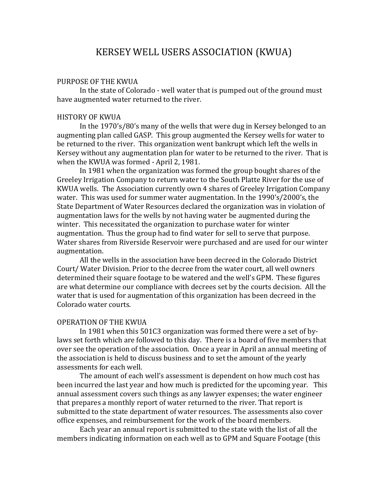# KERSEY WELL USERS ASSOCIATION (KWUA)

## PURPOSE OF THE KWUA

In the state of Colorado - well water that is pumped out of the ground must have augmented water returned to the river.

#### HISTORY OF KWUA

In the 1970's/80's many of the wells that were dug in Kersey belonged to an augmenting plan called GASP. This group augmented the Kersey wells for water to be returned to the river. This organization went bankrupt which left the wells in Kersey without any augmentation plan for water to be returned to the river. That is when the KWUA was formed - April 2, 1981.

In 1981 when the organization was formed the group bought shares of the Greeley Irrigation Company to return water to the South Platte River for the use of KWUA wells. The Association currently own 4 shares of Greeley Irrigation Company water. This was used for summer water augmentation. In the 1990's/2000's, the State Department of Water Resources declared the organization was in violation of augmentation laws for the wells by not having water be augmented during the winter. This necessitated the organization to purchase water for winter augmentation. Thus the group had to find water for sell to serve that purpose. Water shares from Riverside Reservoir were purchased and are used for our winter augmentation.

All the wells in the association have been decreed in the Colorado District Court/ Water Division. Prior to the decree from the water court, all well owners determined their square footage to be watered and the well's GPM. These figures are what determine our compliance with decrees set by the courts decision. All the water that is used for augmentation of this organization has been decreed in the Colorado water courts.

# OPERATION OF THE KWUA

In 1981 when this 501C3 organization was formed there were a set of bylaws set forth which are followed to this day. There is a board of five members that over see the operation of the association. Once a year in April an annual meeting of the association is held to discuss business and to set the amount of the yearly assessments for each well.

The amount of each well's assessment is dependent on how much cost has been incurred the last year and how much is predicted for the upcoming year. This annual assessment covers such things as any lawyer expenses; the water engineer that prepares a monthly report of water returned to the river. That report is submitted to the state department of water resources. The assessments also cover office expenses, and reimbursement for the work of the board members.

Each year an annual report is submitted to the state with the list of all the members indicating information on each well as to GPM and Square Footage (this